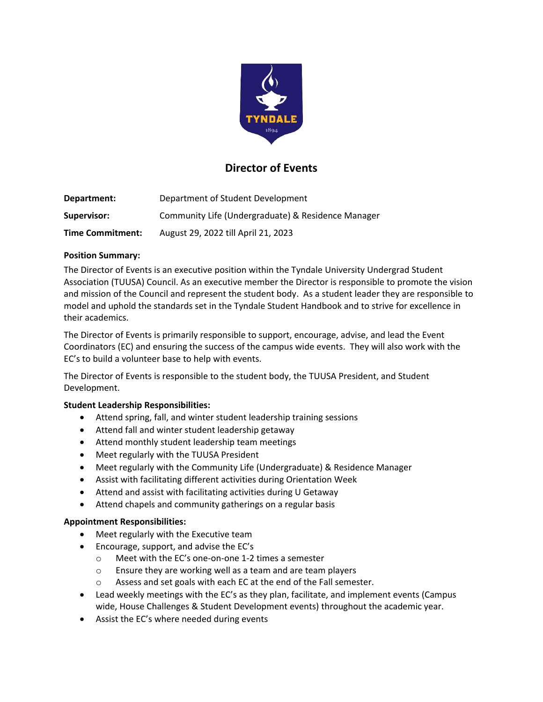

# **Director of Events**

| Department:             | Department of Student Development                  |
|-------------------------|----------------------------------------------------|
| Supervisor:             | Community Life (Undergraduate) & Residence Manager |
| <b>Time Commitment:</b> | August 29, 2022 till April 21, 2023                |

## **Position Summary:**

The Director of Events is an executive position within the Tyndale University Undergrad Student Association (TUUSA) Council. As an executive member the Director is responsible to promote the vision and mission of the Council and represent the student body. As a student leader they are responsible to model and uphold the standards set in the Tyndale Student Handbook and to strive for excellence in their academics.

The Director of Events is primarily responsible to support, encourage, advise, and lead the Event Coordinators (EC) and ensuring the success of the campus wide events. They will also work with the EC's to build a volunteer base to help with events.

The Director of Events is responsible to the student body, the TUUSA President, and Student Development.

# **Student Leadership Responsibilities:**

- Attend spring, fall, and winter student leadership training sessions
- Attend fall and winter student leadership getaway
- Attend monthly student leadership team meetings
- Meet regularly with the TUUSA President
- Meet regularly with the Community Life (Undergraduate) & Residence Manager
- Assist with facilitating different activities during Orientation Week
- Attend and assist with facilitating activities during U Getaway
- Attend chapels and community gatherings on a regular basis

#### **Appointment Responsibilities:**

- Meet regularly with the Executive team
- Encourage, support, and advise the EC's
	- o Meet with the EC's one-on-one 1-2 times a semester
	- o Ensure they are working well as a team and are team players
	- o Assess and set goals with each EC at the end of the Fall semester.
- Lead weekly meetings with the EC's as they plan, facilitate, and implement events (Campus wide, House Challenges & Student Development events) throughout the academic year.
- Assist the EC's where needed during events